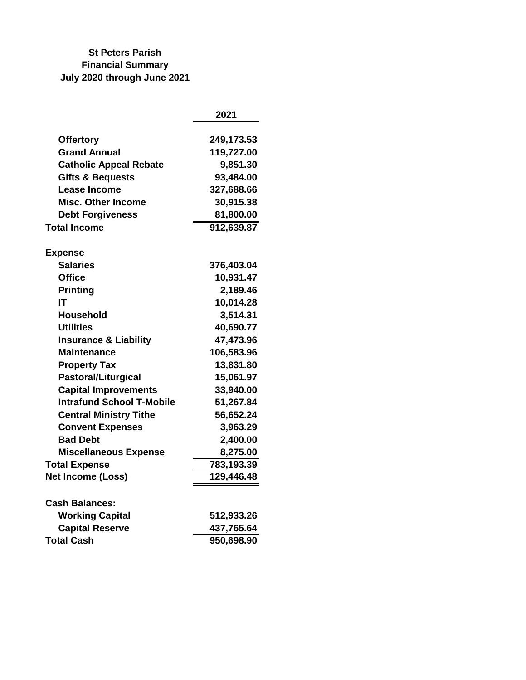## **St Peters Parish Financial Summary July 2020 through June 2021**

|                                  | 2021       |
|----------------------------------|------------|
| <b>Offertory</b>                 | 249,173.53 |
| <b>Grand Annual</b>              | 119,727.00 |
| <b>Catholic Appeal Rebate</b>    | 9,851.30   |
| <b>Gifts &amp; Bequests</b>      | 93,484.00  |
| <b>Lease Income</b>              | 327,688.66 |
| <b>Misc. Other Income</b>        | 30,915.38  |
| <b>Debt Forgiveness</b>          | 81,800.00  |
| <b>Total Income</b>              | 912,639.87 |
| <b>Expense</b>                   |            |
| <b>Salaries</b>                  | 376,403.04 |
| <b>Office</b>                    | 10,931.47  |
| <b>Printing</b>                  | 2,189.46   |
| ΙT                               | 10,014.28  |
| <b>Household</b>                 | 3,514.31   |
| <b>Utilities</b>                 | 40,690.77  |
| <b>Insurance &amp; Liability</b> | 47,473.96  |
| <b>Maintenance</b>               | 106,583.96 |
| <b>Property Tax</b>              | 13,831.80  |
| <b>Pastoral/Liturgical</b>       | 15,061.97  |
| <b>Capital Improvements</b>      | 33,940.00  |
| <b>Intrafund School T-Mobile</b> | 51,267.84  |
| <b>Central Ministry Tithe</b>    | 56,652.24  |
| <b>Convent Expenses</b>          | 3,963.29   |
| <b>Bad Debt</b>                  | 2,400.00   |
| <b>Miscellaneous Expense</b>     | 8,275.00   |
| <b>Total Expense</b>             | 783,193.39 |
| Net Income (Loss)                | 129,446.48 |
| <b>Cash Balances:</b>            |            |
| <b>Working Capital</b>           | 512,933.26 |
| <b>Capital Reserve</b>           | 437,765.64 |
| <b>Total Cash</b>                | 950,698.90 |